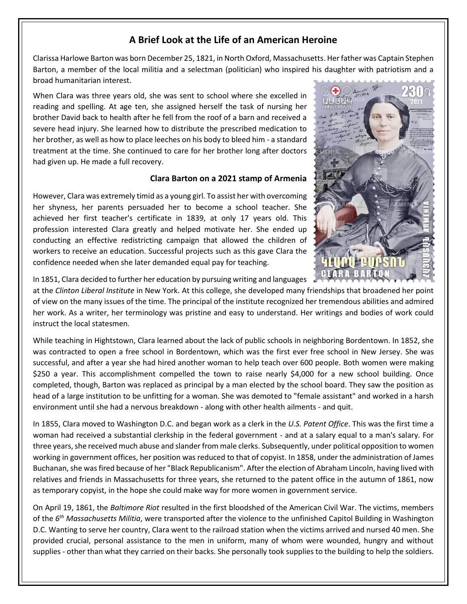## **A Brief Look at the Life of an American Heroine**

Clarissa Harlowe Barton was born December 25, 1821, in North Oxford, Massachusetts. Her father was Captain Stephen Barton, a member of the local militia and a selectman (politician) who inspired his daughter with patriotism and a broad humanitarian interest.

When Clara was three years old, she was sent to school where she excelled in reading and spelling. At age ten, she assigned herself the task of nursing her brother David back to health after he fell from the roof of a barn and received a severe head injury. She learned how to distribute the prescribed medication to her brother, as well as how to place leeches on his body to bleed him - a standard treatment at the time. She continued to care for her brother long after doctors had given up. He made a full recovery.

#### **Clara Barton on a 2021 stamp of Armenia**

However, Clara was extremely timid as a young girl. To assist her with overcoming her shyness, her parents persuaded her to become a school teacher. She achieved her first teacher's certificate in 1839, at only 17 years old. This profession interested Clara greatly and helped motivate her. She ended up conducting an effective redistricting campaign that allowed the children of workers to receive an education. Successful projects such as this gave Clara the confidence needed when she later demanded equal pay for teaching.



In 1851, Clara decided to further her education by pursuing writing and languages

at the *Clinton Liberal Institute* in New York. At this college, she developed many friendships that broadened her point of view on the many issues of the time. The principal of the institute recognized her tremendous abilities and admired her work. As a writer, her terminology was pristine and easy to understand. Her writings and bodies of work could instruct the local statesmen.

While teaching in Hightstown, Clara learned about the lack of public schools in neighboring Bordentown. In 1852, she was contracted to open a free school in Bordentown, which was the first ever free school in New Jersey. She was successful, and after a year she had hired another woman to help teach over 600 people. Both women were making \$250 a year. This accomplishment compelled the town to raise nearly \$4,000 for a new school building. Once completed, though, Barton was replaced as principal by a man elected by the school board. They saw the position as head of a large institution to be unfitting for a woman. She was demoted to "female assistant" and worked in a harsh environment until she had a nervous breakdown - along with other health ailments - and quit.

In 1855, Clara moved to Washington D.C. and began work as a clerk in the *U.S. Patent Office*. This was the first time a woman had received a substantial clerkship in the federal government - and at a salary equal to a man's salary. For three years, she received much abuse and slander from male clerks. Subsequently, under political opposition to women working in government offices, her position was reduced to that of copyist. In 1858, under the administration of James Buchanan, she was fired because of her "Black Republicanism". After the election of Abraham Lincoln, having lived with relatives and friends in Massachusetts for three years, she returned to the patent office in the autumn of 1861, now as temporary copyist, in the hope she could make way for more women in government service.

On April 19, 1861, the *Baltimore Riot* resulted in the first bloodshed of the American Civil War. The victims, members of the *6 th Massachusetts Militia*, were transported after the violence to the unfinished Capitol Building in Washington D.C. Wanting to serve her country, Clara went to the railroad station when the victims arrived and nursed 40 men. She provided crucial, personal assistance to the men in uniform, many of whom were wounded, hungry and without supplies - other than what they carried on their backs. She personally took supplies to the building to help the soldiers.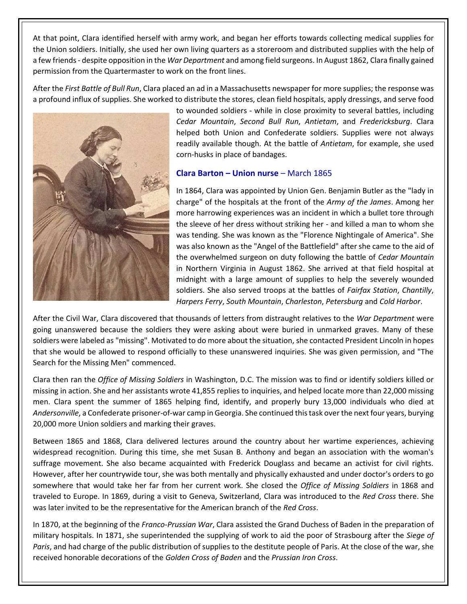At that point, Clara identified herself with army work, and began her efforts towards collecting medical supplies for the Union soldiers. Initially, she used her own living quarters as a storeroom and distributed supplies with the help of a few friends- despite opposition in the *War Department* and among field surgeons. In August 1862, Clara finally gained permission from the Quartermaster to work on the front lines.

After the *First Battle of Bull Run*, Clara placed an ad in a Massachusetts newspaper for more supplies; the response was a profound influx of supplies. She worked to distribute the stores, clean field hospitals, apply dressings, and serve food



to wounded soldiers - while in close proximity to several battles, including *Cedar Mountain*, *Second Bull Run*, *Antietam*, and *Fredericksburg*. Clara helped both Union and Confederate soldiers. Supplies were not always readily available though. At the battle of *Antietam*, for example, she used corn-husks in place of bandages.

#### **Clara Barton – Union nurse** – March 1865

In 1864, Clara was appointed by Union Gen. Benjamin Butler as the "lady in charge" of the hospitals at the front of the *Army of the James*. Among her more harrowing experiences was an incident in which a bullet tore through the sleeve of her dress without striking her - and killed a man to whom she was tending. She was known as the "Florence Nightingale of America". She was also known as the "Angel of the Battlefield" after she came to the aid of the overwhelmed surgeon on duty following the battle of *Cedar Mountain* in Northern Virginia in August 1862. She arrived at that field hospital at midnight with a large amount of supplies to help the severely wounded soldiers. She also served troops at the battles of *Fairfax Station*, *Chantilly*, *Harpers Ferry*, *South Mountain*, *Charleston*, *Petersburg* and *Cold Harbor*.

After the Civil War, Clara discovered that thousands of letters from distraught relatives to the *War Department* were going unanswered because the soldiers they were asking about were buried in unmarked graves. Many of these soldiers were labeled as "missing". Motivated to do more about the situation, she contacted President Lincoln in hopes that she would be allowed to respond officially to these unanswered inquiries. She was given permission, and "The Search for the Missing Men" commenced.

Clara then ran the *Office of Missing Soldiers* in Washington, D.C. The mission was to find or identify soldiers killed or missing in action. She and her assistants wrote 41,855 replies to inquiries, and helped locate more than 22,000 missing men. Clara spent the summer of 1865 helping find, identify, and properly bury 13,000 individuals who died at *Andersonville*, a Confederate prisoner-of-war camp in Georgia. She continued this task over the next four years, burying 20,000 more Union soldiers and marking their graves.

Between 1865 and 1868, Clara delivered lectures around the country about her wartime experiences, achieving widespread recognition. During this time, she met Susan B. Anthony and began an association with the woman's suffrage movement. She also became acquainted with Frederick Douglass and became an activist for civil rights. However, after her countrywide tour, she was both mentally and physically exhausted and under doctor's orders to go somewhere that would take her far from her current work. She closed the *Office of Missing Soldiers* in 1868 and traveled to Europe. In 1869, during a visit to Geneva, Switzerland, Clara was introduced to the *Red Cross* there. She was later invited to be the representative for the American branch of the *Red Cross*.

In 1870, at the beginning of the *Franco-Prussian War*, Clara assisted the Grand Duchess of Baden in the preparation of military hospitals. In 1871, she superintended the supplying of work to aid the poor of Strasbourg after the *Siege of Paris*, and had charge of the public distribution of supplies to the destitute people of Paris. At the close of the war, she received honorable decorations of the *Golden Cross of Baden* and the *Prussian Iron Cross*.